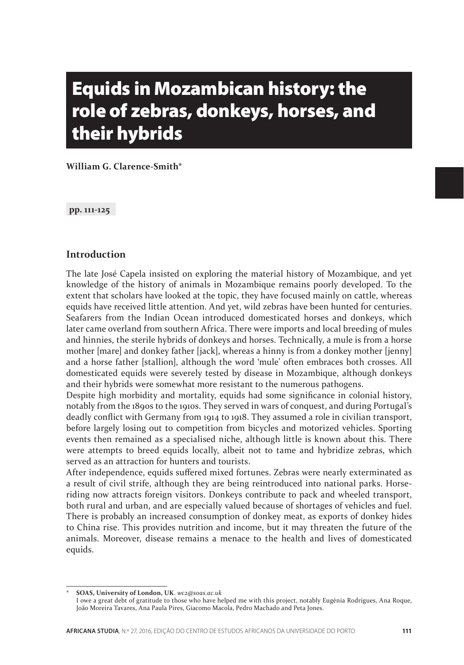# Equids in Mozambican history: the role of zebras, donkeys, horses, and their hybrids

**William G. Clarence-Smith\***

**pp. 111-125**

#### **Introduction**

The late José Capela insisted on exploring the material history of Mozambique, and yet knowledge of the history of animals in Mozambique remains poorly developed. To the extent that scholars have looked at the topic, they have focused mainly on cattle, whereas equids have received little attention. And yet, wild zebras have been hunted for centuries. Seafarers from the Indian Ocean introduced domesticated horses and donkeys, which later came overland from southern Africa. There were imports and local breeding of mules and hinnies, the sterile hybrids of donkeys and horses. Technically, a mule is from a horse mother [mare] and donkey father [jack], whereas a hinny is from a donkey mother [jenny] and a horse father [stallion], although the word 'mule' often embraces both crosses. All domesticated equids were severely tested by disease in Mozambique, although donkeys and their hybrids were somewhat more resistant to the numerous pathogens.

Despite high morbidity and mortality, equids had some significance in colonial history, notably from the 1890s to the 1910s. They served in wars of conquest, and during Portugal's deadly conflict with Germany from 1914 to 1918. They assumed a role in civilian transport, before largely losing out to competition from bicycles and motorized vehicles. Sporting events then remained as a specialised niche, although little is known about this. There were attempts to breed equids locally, albeit not to tame and hybridize zebras, which served as an attraction for hunters and tourists.

After independence, equids suffered mixed fortunes. Zebras were nearly exterminated as a result of civil strife, although they are being reintroduced into national parks. Horseriding now attracts foreign visitors. Donkeys contribute to pack and wheeled transport, both rural and urban, and are especially valued because of shortages of vehicles and fuel. There is probably an increased consumption of donkey meat, as exports of donkey hides to China rise. This provides nutrition and income, but it may threaten the future of the animals. Moreover, disease remains a menace to the health and lives of domesticated equids.

<sup>\*</sup> **SOAS, University of London, UK**. *wc2@soas.ac.uk* 

I owe a great debt of gratitude to those who have helped me with this project, notably Eugénia Rodrigues, Ana Roque, João Moreira Tavares, Ana Paula Pires, Giacomo Macola, Pedro Machado and Peta Jones.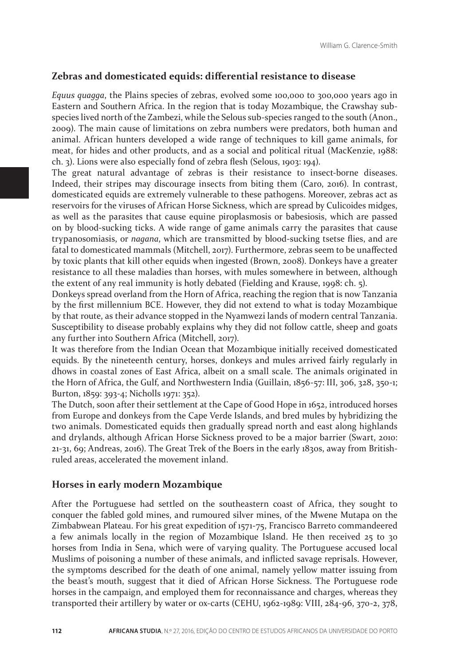#### **Zebras and domesticated equids: differential resistance to disease**

*Equus quagga*, the Plains species of zebras, evolved some 100,000 to 300,000 years ago in Eastern and Southern Africa. In the region that is today Mozambique, the Crawshay subspecies lived north of the Zambezi, while the Selous sub-species ranged to the south (Anon., 2009). The main cause of limitations on zebra numbers were predators, both human and animal. African hunters developed a wide range of techniques to kill game animals, for meat, for hides and other products, and as a social and political ritual (MacKenzie, 1988: ch. 3). Lions were also especially fond of zebra flesh (Selous, 1903: 194).

The great natural advantage of zebras is their resistance to insect-borne diseases. Indeed, their stripes may discourage insects from biting them (Caro, 2016). In contrast, domesticated equids are extremely vulnerable to these pathogens. Moreover, zebras act as reservoirs for the viruses of African Horse Sickness, which are spread by Culicoides midges, as well as the parasites that cause equine piroplasmosis or babesiosis, which are passed on by blood-sucking ticks. A wide range of game animals carry the parasites that cause trypanosomiasis, or *nagana*, which are transmitted by blood-sucking tsetse flies, and are fatal to domesticated mammals (Mitchell, 2017). Furthermore, zebras seem to be unaffected by toxic plants that kill other equids when ingested (Brown, 2008). Donkeys have a greater resistance to all these maladies than horses, with mules somewhere in between, although the extent of any real immunity is hotly debated (Fielding and Krause, 1998: ch. 5).

Donkeys spread overland from the Horn of Africa, reaching the region that is now Tanzania by the first millennium BCE. However, they did not extend to what is today Mozambique by that route, as their advance stopped in the Nyamwezi lands of modern central Tanzania. Susceptibility to disease probably explains why they did not follow cattle, sheep and goats any further into Southern Africa (Mitchell, 2017).

It was therefore from the Indian Ocean that Mozambique initially received domesticated equids. By the nineteenth century, horses, donkeys and mules arrived fairly regularly in dhows in coastal zones of East Africa, albeit on a small scale. The animals originated in the Horn of Africa, the Gulf, and Northwestern India (Guillain, 1856-57: III, 306, 328, 350-1; Burton, 1859: 393-4; Nicholls 1971: 352).

The Dutch, soon after their settlement at the Cape of Good Hope in 1652, introduced horses from Europe and donkeys from the Cape Verde Islands, and bred mules by hybridizing the two animals. Domesticated equids then gradually spread north and east along highlands and drylands, although African Horse Sickness proved to be a major barrier (Swart, 2010: 21-31, 69; Andreas, 2016). The Great Trek of the Boers in the early 1830s, away from Britishruled areas, accelerated the movement inland.

#### **Horses in early modern Mozambique**

After the Portuguese had settled on the southeastern coast of Africa, they sought to conquer the fabled gold mines, and rumoured silver mines, of the Mwene Mutapa on the Zimbabwean Plateau. For his great expedition of 1571-75, Francisco Barreto commandeered a few animals locally in the region of Mozambique Island. He then received 25 to 30 horses from India in Sena, which were of varying quality. The Portuguese accused local Muslims of poisoning a number of these animals, and inflicted savage reprisals. However, the symptoms described for the death of one animal, namely yellow matter issuing from the beast's mouth, suggest that it died of African Horse Sickness. The Portuguese rode horses in the campaign, and employed them for reconnaissance and charges, whereas they transported their artillery by water or ox-carts (CEHU, 1962-1989: VIII, 284-96, 370-2, 378,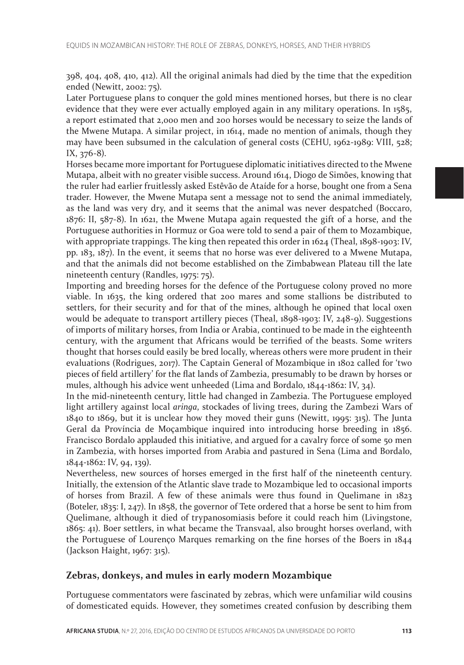398, 404, 408, 410, 412). All the original animals had died by the time that the expedition ended (Newitt, 2002: 75).

Later Portuguese plans to conquer the gold mines mentioned horses, but there is no clear evidence that they were ever actually employed again in any military operations. In 1585, a report estimated that 2,000 men and 200 horses would be necessary to seize the lands of the Mwene Mutapa. A similar project, in 1614, made no mention of animals, though they may have been subsumed in the calculation of general costs (CEHU, 1962-1989: VIII, 528; IX, 376-8).

Horses became more important for Portuguese diplomatic initiatives directed to the Mwene Mutapa, albeit with no greater visible success. Around 1614, Diogo de Simões, knowing that the ruler had earlier fruitlessly asked Estêvão de Ataíde for a horse, bought one from a Sena trader. However, the Mwene Mutapa sent a message not to send the animal immediately, as the land was very dry, and it seems that the animal was never despatched (Boccaro, 1876: II, 587-8). In 1621, the Mwene Mutapa again requested the gift of a horse, and the Portuguese authorities in Hormuz or Goa were told to send a pair of them to Mozambique, with appropriate trappings. The king then repeated this order in 1624 (Theal, 1898-1903: IV, pp. 183, 187). In the event, it seems that no horse was ever delivered to a Mwene Mutapa, and that the animals did not become established on the Zimbabwean Plateau till the late nineteenth century (Randles, 1975: 75).

Importing and breeding horses for the defence of the Portuguese colony proved no more viable. In 1635, the king ordered that 200 mares and some stallions be distributed to settlers, for their security and for that of the mines, although he opined that local oxen would be adequate to transport artillery pieces (Theal, 1898-1903: IV, 248-9). Suggestions of imports of military horses, from India or Arabia, continued to be made in the eighteenth century, with the argument that Africans would be terrified of the beasts. Some writers thought that horses could easily be bred locally, whereas others were more prudent in their evaluations (Rodrigues, 2017). The Captain General of Mozambique in 1802 called for 'two pieces of field artillery' for the flat lands of Zambezia, presumably to be drawn by horses or mules, although his advice went unheeded (Lima and Bordalo, 1844-1862: IV, 34).

In the mid-nineteenth century, little had changed in Zambezia. The Portuguese employed light artillery against local *aringa*, stockades of living trees, during the Zambezi Wars of 1840 to 1869, but it is unclear how they moved their guns (Newitt, 1995: 315). The Junta Geral da Província de Moçambique inquired into introducing horse breeding in 1856. Francisco Bordalo applauded this initiative, and argued for a cavalry force of some 50 men in Zambezia, with horses imported from Arabia and pastured in Sena (Lima and Bordalo, 1844-1862: IV, 94, 139).

Nevertheless, new sources of horses emerged in the first half of the nineteenth century. Initially, the extension of the Atlantic slave trade to Mozambique led to occasional imports of horses from Brazil. A few of these animals were thus found in Quelimane in 1823 (Boteler, 1835: I, 247). In 1858, the governor of Tete ordered that a horse be sent to him from Quelimane, although it died of trypanosomiasis before it could reach him (Livingstone, 1865: 41). Boer settlers, in what became the Transvaal, also brought horses overland, with the Portuguese of Lourenço Marques remarking on the fine horses of the Boers in 1844 (Jackson Haight, 1967: 315).

## **Zebras, donkeys, and mules in early modern Mozambique**

Portuguese commentators were fascinated by zebras, which were unfamiliar wild cousins of domesticated equids. However, they sometimes created confusion by describing them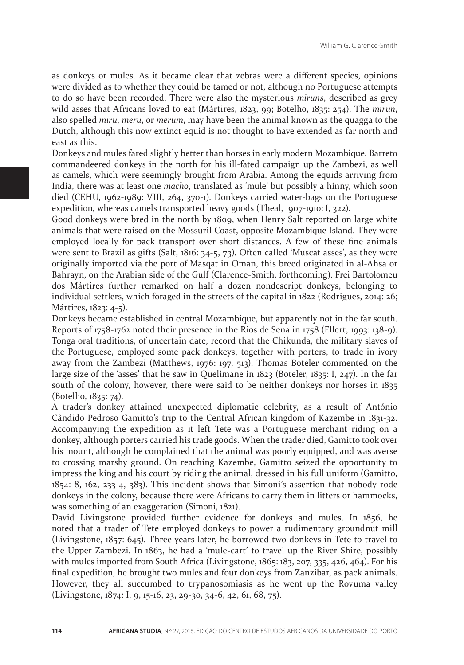as donkeys or mules. As it became clear that zebras were a different species, opinions were divided as to whether they could be tamed or not, although no Portuguese attempts to do so have been recorded. There were also the mysterious *miruns*, described as grey wild asses that Africans loved to eat (Mártires, 1823, 99; Botelho, 1835: 254). The *mirun*, also spelled *miru*, *meru*, or *merum*, may have been the animal known as the quagga to the Dutch, although this now extinct equid is not thought to have extended as far north and east as this.

Donkeys and mules fared slightly better than horses in early modern Mozambique. Barreto commandeered donkeys in the north for his ill-fated campaign up the Zambezi, as well as camels, which were seemingly brought from Arabia. Among the equids arriving from India, there was at least one *macho*, translated as 'mule' but possibly a hinny, which soon died (CEHU, 1962-1989: VIII, 264, 370-1). Donkeys carried water-bags on the Portuguese expedition, whereas camels transported heavy goods (Theal, 1907-1910: I, 322).

Good donkeys were bred in the north by 1809, when Henry Salt reported on large white animals that were raised on the Mossuril Coast, opposite Mozambique Island. They were employed locally for pack transport over short distances. A few of these fine animals were sent to Brazil as gifts (Salt, 1816: 34-5, 73). Often called 'Muscat asses', as they were originally imported via the port of Masqat in Oman, this breed originated in al-Ahsa or Bahrayn, on the Arabian side of the Gulf (Clarence-Smith, forthcoming). Frei Bartolomeu dos Mártires further remarked on half a dozen nondescript donkeys, belonging to individual settlers, which foraged in the streets of the capital in 1822 (Rodrigues, 2014: 26; Mártires, 1823: 4-5).

Donkeys became established in central Mozambique, but apparently not in the far south. Reports of 1758-1762 noted their presence in the Rios de Sena in 1758 (Ellert, 1993: 138-9). Tonga oral traditions, of uncertain date, record that the Chikunda, the military slaves of the Portuguese, employed some pack donkeys, together with porters, to trade in ivory away from the Zambezi (Matthews, 1976: 197, 513). Thomas Boteler commented on the large size of the 'asses' that he saw in Quelimane in  $1823$  (Boteler,  $1835$ : I,  $247$ ). In the far south of the colony, however, there were said to be neither donkeys nor horses in 1835 (Botelho, 1835: 74).

A trader's donkey attained unexpected diplomatic celebrity, as a result of António Cândido Pedroso Gamitto's trip to the Central African kingdom of Kazembe in 1831-32. Accompanying the expedition as it left Tete was a Portuguese merchant riding on a donkey, although porters carried his trade goods. When the trader died, Gamitto took over his mount, although he complained that the animal was poorly equipped, and was averse to crossing marshy ground. On reaching Kazembe, Gamitto seized the opportunity to impress the king and his court by riding the animal, dressed in his full uniform (Gamitto,  $1854: 8$ ,  $162$ ,  $233-4$ ,  $383$ ). This incident shows that Simoni's assertion that nobody rode donkeys in the colony, because there were Africans to carry them in litters or hammocks, was something of an exaggeration (Simoni, 1821).

David Livingstone provided further evidence for donkeys and mules. In 1856, he noted that a trader of Tete employed donkeys to power a rudimentary groundnut mill (Livingstone, 1857: 645). Three years later, he borrowed two donkeys in Tete to travel to the Upper Zambezi. In 1863, he had a 'mule-cart' to travel up the River Shire, possibly with mules imported from South Africa (Livingstone, 1865: 183, 207, 335, 426, 464). For his final expedition, he brought two mules and four donkeys from Zanzibar, as pack animals. However, they all succumbed to trypanosomiasis as he went up the Rovuma valley (Livingstone, 1874: I, 9, 15-16, 23, 29-30, 34-6, 42, 61, 68, 75).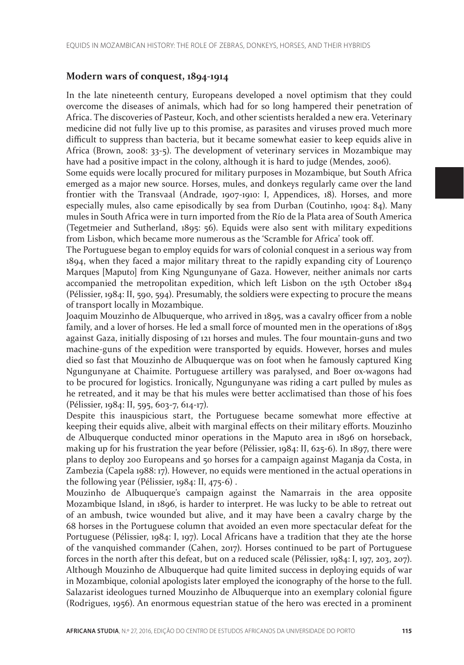## **Modern wars of conquest, 1894-1914**

In the late nineteenth century, Europeans developed a novel optimism that they could overcome the diseases of animals, which had for so long hampered their penetration of Africa. The discoveries of Pasteur, Koch, and other scientists heralded a new era. Veterinary medicine did not fully live up to this promise, as parasites and viruses proved much more difficult to suppress than bacteria, but it became somewhat easier to keep equids alive in Africa (Brown, 2008: 33-5). The development of veterinary services in Mozambique may have had a positive impact in the colony, although it is hard to judge (Mendes, 2006).

Some equids were locally procured for military purposes in Mozambique, but South Africa emerged as a major new source. Horses, mules, and donkeys regularly came over the land frontier with the Transvaal (Andrade, 1907-1910: I, Appendices, 18). Horses, and more especially mules, also came episodically by sea from Durban (Coutinho, 1904: 84). Many mules in South Africa were in turn imported from the Río de la Plata area of South America (Tegetmeier and Sutherland, 1895: 56). Equids were also sent with military expeditions from Lisbon, which became more numerous as the 'Scramble for Africa' took off.

The Portuguese began to employ equids for wars of colonial conquest in a serious way from 1894, when they faced a major military threat to the rapidly expanding city of Lourenço Marques [Maputo] from King Ngungunyane of Gaza. However, neither animals nor carts accompanied the metropolitan expedition, which left Lisbon on the 15th October 1894 (Pélissier, 1984: II, 590, 594). Presumably, the soldiers were expecting to procure the means of transport locally in Mozambique.

Joaquim Mouzinho de Albuquerque, who arrived in 1895, was a cavalry officer from a noble family, and a lover of horses. He led a small force of mounted men in the operations of 1895 against Gaza, initially disposing of 121 horses and mules. The four mountain-guns and two machine-guns of the expedition were transported by equids. However, horses and mules died so fast that Mouzinho de Albuquerque was on foot when he famously captured King Ngungunyane at Chaimite. Portuguese artillery was paralysed, and Boer ox-wagons had to be procured for logistics. Ironically, Ngungunyane was riding a cart pulled by mules as he retreated, and it may be that his mules were better acclimatised than those of his foes (Pélissier, 1984: II, 595, 603-7, 614-17).

Despite this inauspicious start, the Portuguese became somewhat more effective at keeping their equids alive, albeit with marginal effects on their military efforts. Mouzinho de Albuquerque conducted minor operations in the Maputo area in 1896 on horseback, making up for his frustration the year before (Pélissier, 1984: II, 625-6). In 1897, there were plans to deploy 200 Europeans and 50 horses for a campaign against Maganja da Costa, in Zambezia (Capela 1988: 17). However, no equids were mentioned in the actual operations in the following year (Pélissier, 1984: II, 475-6) .

Mouzinho de Albuquerque's campaign against the Namarrais in the area opposite Mozambique Island, in 1896, is harder to interpret. He was lucky to be able to retreat out of an ambush, twice wounded but alive, and it may have been a cavalry charge by the 68 horses in the Portuguese column that avoided an even more spectacular defeat for the Portuguese (Pélissier, 1984: I, 197). Local Africans have a tradition that they ate the horse of the vanquished commander (Cahen, 2017). Horses continued to be part of Portuguese forces in the north after this defeat, but on a reduced scale (Pélissier, 1984: I, 197, 203, 207). Although Mouzinho de Albuquerque had quite limited success in deploying equids of war in Mozambique, colonial apologists later employed the iconography of the horse to the full. Salazarist ideologues turned Mouzinho de Albuquerque into an exemplary colonial figure (Rodrigues, 1956). An enormous equestrian statue of the hero was erected in a prominent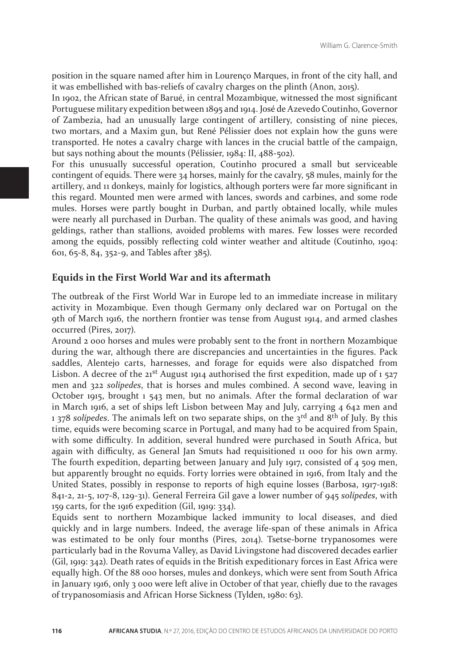position in the square named after him in Lourenço Marques, in front of the city hall, and it was embellished with bas-reliefs of cavalry charges on the plinth (Anon, 2015).

In 1902, the African state of Barué, in central Mozambique, witnessed the most significant Portuguese military expedition between 1895 and 1914. José de Azevedo Coutinho, Governor of Zambezia, had an unusually large contingent of artillery, consisting of nine pieces, two mortars, and a Maxim gun, but René Pélissier does not explain how the guns were transported. He notes a cavalry charge with lances in the crucial battle of the campaign, but says nothing about the mounts (Pélissier, 1984: II, 488-502).

For this unusually successful operation, Coutinho procured a small but serviceable contingent of equids. There were 34 horses, mainly for the cavalry, 58 mules, mainly for the artillery, and 11 donkeys, mainly for logistics, although porters were far more significant in this regard. Mounted men were armed with lances, swords and carbines, and some rode mules. Horses were partly bought in Durban, and partly obtained locally, while mules were nearly all purchased in Durban. The quality of these animals was good, and having geldings, rather than stallions, avoided problems with mares. Few losses were recorded among the equids, possibly reflecting cold winter weather and altitude (Coutinho, 1904: 601, 65-8, 84, 352-9, and Tables after 385).

## **Equids in the First World War and its aftermath**

The outbreak of the First World War in Europe led to an immediate increase in military activity in Mozambique. Even though Germany only declared war on Portugal on the 9th of March 1916, the northern frontier was tense from August 1914, and armed clashes occurred (Pires, 2017).

Around 2 000 horses and mules were probably sent to the front in northern Mozambique during the war, although there are discrepancies and uncertainties in the figures. Pack saddles, Alentejo carts, harnesses, and forage for equids were also dispatched from Lisbon. A decree of the  $21^{st}$  August 1914 authorised the first expedition, made up of 1 527 men and 322 *solípedes*, that is horses and mules combined. A second wave, leaving in October 1915, brought 1 543 men, but no animals. After the formal declaration of war in March 1916, a set of ships left Lisbon between May and July, carrying 4 642 men and 1 378 *solípedes*. The animals left on two separate ships, on the 3rd and 8th of July. By this time, equids were becoming scarce in Portugal, and many had to be acquired from Spain, with some difficulty. In addition, several hundred were purchased in South Africa, but again with difficulty, as General Jan Smuts had requisitioned 11 000 for his own army. The fourth expedition, departing between January and July 1917, consisted of 4 509 men, but apparently brought no equids. Forty lorries were obtained in 1916, from Italy and the United States, possibly in response to reports of high equine losses (Barbosa, 1917-1918: 841-2, 21-5, 107-8, 129-31). General Ferreira Gil gave a lower number of 945 *solípedes*, with 159 carts, for the 1916 expedition (Gil, 1919: 334).

Equids sent to northern Mozambique lacked immunity to local diseases, and died quickly and in large numbers. Indeed, the average life-span of these animals in Africa was estimated to be only four months (Pires, 2014). Tsetse-borne trypanosomes were particularly bad in the Rovuma Valley, as David Livingstone had discovered decades earlier (Gil, 1919: 342). Death rates of equids in the British expeditionary forces in East Africa were equally high. Of the 88 000 horses, mules and donkeys, which were sent from South Africa in January 1916, only 3 000 were left alive in October of that year, chiefly due to the ravages of trypanosomiasis and African Horse Sickness (Tylden, 1980: 63).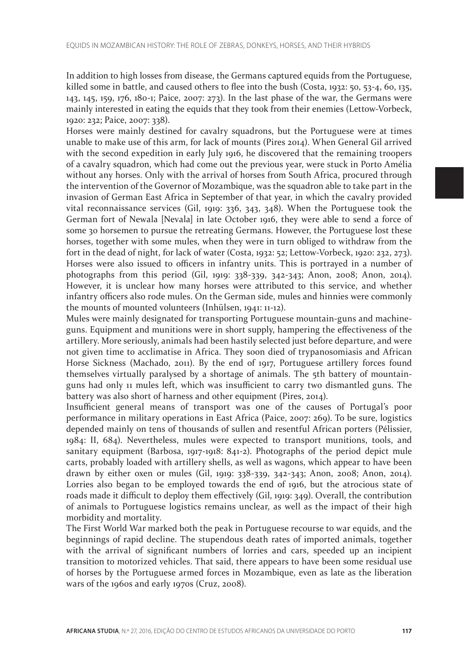In addition to high losses from disease, the Germans captured equids from the Portuguese, killed some in battle, and caused others to flee into the bush (Costa, 1932: 50, 53-4, 60, 135, 143, 145, 159, 176, 180-1; Paice, 2007: 273). In the last phase of the war, the Germans were mainly interested in eating the equids that they took from their enemies (Lettow-Vorbeck, 1920: 232; Paice, 2007: 338).

Horses were mainly destined for cavalry squadrons, but the Portuguese were at times unable to make use of this arm, for lack of mounts (Pires 2014). When General Gil arrived with the second expedition in early July 1916, he discovered that the remaining troopers of a cavalry squadron, which had come out the previous year, were stuck in Porto Amélia without any horses. Only with the arrival of horses from South Africa, procured through the intervention of the Governor of Mozambique, was the squadron able to take part in the invasion of German East Africa in September of that year, in which the cavalry provided vital reconnaissance services (Gil, 1919: 336, 343, 348). When the Portuguese took the German fort of Newala [Nevala] in late October 1916, they were able to send a force of some 30 horsemen to pursue the retreating Germans. However, the Portuguese lost these horses, together with some mules, when they were in turn obliged to withdraw from the fort in the dead of night, for lack of water (Costa, 1932: 52; Lettow-Vorbeck, 1920: 232, 273). Horses were also issued to officers in infantry units. This is portrayed in a number of photographs from this period (Gil, 1919: 338-339, 342-343; Anon, 2008; Anon, 2014). However, it is unclear how many horses were attributed to this service, and whether infantry officers also rode mules. On the German side, mules and hinnies were commonly the mounts of mounted volunteers (Inhülsen, 1941: 11-12).

Mules were mainly designated for transporting Portuguese mountain-guns and machineguns. Equipment and munitions were in short supply, hampering the effectiveness of the artillery. More seriously, animals had been hastily selected just before departure, and were not given time to acclimatise in Africa. They soon died of trypanosomiasis and African Horse Sickness (Machado, 2011). By the end of 1917, Portuguese artillery forces found themselves virtually paralysed by a shortage of animals. The 5th battery of mountainguns had only 11 mules left, which was insufficient to carry two dismantled guns. The battery was also short of harness and other equipment (Pires, 2014).

Insufficient general means of transport was one of the causes of Portugal's poor performance in military operations in East Africa (Paice, 2007: 269). To be sure, logistics depended mainly on tens of thousands of sullen and resentful African porters (Pélissier, 1984: II, 684). Nevertheless, mules were expected to transport munitions, tools, and sanitary equipment (Barbosa, 1917-1918: 841-2). Photographs of the period depict mule carts, probably loaded with artillery shells, as well as wagons, which appear to have been drawn by either oxen or mules (Gil, 1919: 338-339, 342-343; Anon, 2008; Anon, 2014). Lorries also began to be employed towards the end of 1916, but the atrocious state of roads made it difficult to deploy them effectively (Gil, 1919: 349). Overall, the contribution of animals to Portuguese logistics remains unclear, as well as the impact of their high morbidity and mortality.

The First World War marked both the peak in Portuguese recourse to war equids, and the beginnings of rapid decline. The stupendous death rates of imported animals, together with the arrival of significant numbers of lorries and cars, speeded up an incipient transition to motorized vehicles. That said, there appears to have been some residual use of horses by the Portuguese armed forces in Mozambique, even as late as the liberation wars of the 1960s and early 1970s (Cruz, 2008).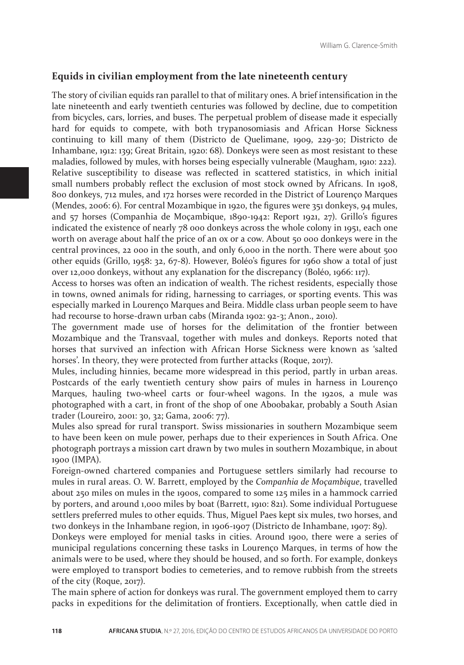#### **Equids in civilian employment from the late nineteenth century**

The story of civilian equids ran parallel to that of military ones. A brief intensification in the late nineteenth and early twentieth centuries was followed by decline, due to competition from bicycles, cars, lorries, and buses. The perpetual problem of disease made it especially hard for equids to compete, with both trypanosomiasis and African Horse Sickness continuing to kill many of them (Districto de Quelimane, 1909, 229-30; Districto de Inhambane, 1912: 139; Great Britain, 1920: 68). Donkeys were seen as most resistant to these maladies, followed by mules, with horses being especially vulnerable (Maugham, 1910: 222). Relative susceptibility to disease was reflected in scattered statistics, in which initial small numbers probably reflect the exclusion of most stock owned by Africans. In 1908, 800 donkeys, 712 mules, and 172 horses were recorded in the District of Lourenço Marques (Mendes, 2006: 6). For central Mozambique in 1920, the figures were 351 donkeys, 94 mules, and 57 horses (Companhia de Moçambique, 1890-1942: Report 1921, 27). Grillo's figures indicated the existence of nearly 78 000 donkeys across the whole colony in 1951, each one worth on average about half the price of an ox or a cow. About 50 000 donkeys were in the central provinces, 22 000 in the south, and only 6,000 in the north. There were about 500 other equids (Grillo, 1958: 32, 67-8). However, Boléo's figures for 1960 show a total of just over 12,000 donkeys, without any explanation for the discrepancy (Boléo, 1966: 117).

Access to horses was often an indication of wealth. The richest residents, especially those in towns, owned animals for riding, harnessing to carriages, or sporting events. This was especially marked in Lourenço Marques and Beira. Middle class urban people seem to have had recourse to horse-drawn urban cabs (Miranda 1902: 92-3; Anon., 2010).

The government made use of horses for the delimitation of the frontier between Mozambique and the Transvaal, together with mules and donkeys. Reports noted that horses that survived an infection with African Horse Sickness were known as 'salted horses'. In theory, they were protected from further attacks (Roque, 2017).

Mules, including hinnies, became more widespread in this period, partly in urban areas. Postcards of the early twentieth century show pairs of mules in harness in Lourenço Marques, hauling two-wheel carts or four-wheel wagons. In the 1920s, a mule was photographed with a cart, in front of the shop of one Aboobakar, probably a South Asian trader (Loureiro, 2001: 30, 32; Gama, 2006: 77).

Mules also spread for rural transport. Swiss missionaries in southern Mozambique seem to have been keen on mule power, perhaps due to their experiences in South Africa. One photograph portrays a mission cart drawn by two mules in southern Mozambique, in about 1900 (IMPA).

Foreign-owned chartered companies and Portuguese settlers similarly had recourse to mules in rural areas. O. W. Barrett, employed by the *Companhia de Moçambique*, travelled about 250 miles on mules in the 1900s, compared to some 125 miles in a hammock carried by porters, and around 1,000 miles by boat (Barrett, 1910: 821). Some individual Portuguese settlers preferred mules to other equids. Thus, Miguel Paes kept six mules, two horses, and two donkeys in the Inhambane region, in 1906-1907 (Districto de Inhambane, 1907: 89).

Donkeys were employed for menial tasks in cities. Around 1900, there were a series of municipal regulations concerning these tasks in Lourenço Marques, in terms of how the animals were to be used, where they should be housed, and so forth. For example, donkeys were employed to transport bodies to cemeteries, and to remove rubbish from the streets of the city (Roque, 2017).

The main sphere of action for donkeys was rural. The government employed them to carry packs in expeditions for the delimitation of frontiers. Exceptionally, when cattle died in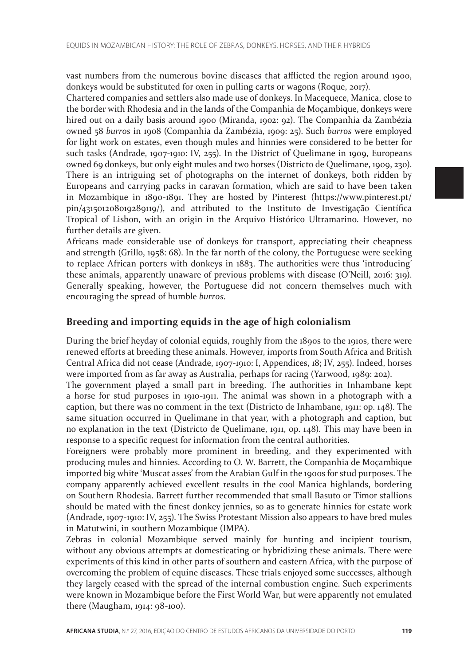vast numbers from the numerous bovine diseases that afflicted the region around 1900, donkeys would be substituted for oxen in pulling carts or wagons (Roque, 2017).

Chartered companies and settlers also made use of donkeys. In Macequece, Manica, close to the border with Rhodesia and in the lands of the Companhia de Moçambique, donkeys were hired out on a daily basis around 1900 (Miranda, 1902: 92). The Companhia da Zambézia owned 58 *burros* in 1908 (Companhia da Zambézia, 1909: 25). Such *burros* were employed for light work on estates, even though mules and hinnies were considered to be better for such tasks (Andrade, 1907-1910: IV, 255). In the District of Quelimane in 1909, Europeans owned 69 donkeys, but only eight mules and two horses (Districto de Quelimane, 1909, 230). There is an intriguing set of photographs on the internet of donkeys, both ridden by Europeans and carrying packs in caravan formation, which are said to have been taken in Mozambique in 1890-1891. They are hosted by Pinterest (https://www.pinterest.pt/ pin/431501208019289119/), and attributed to the Instituto de Investigação Científica Tropical of Lisbon, with an origin in the Arquivo Histórico Ultramarino. However, no further details are given.

Africans made considerable use of donkeys for transport, appreciating their cheapness and strength (Grillo, 1958: 68). In the far north of the colony, the Portuguese were seeking to replace African porters with donkeys in 1883. The authorities were thus 'introducing' these animals, apparently unaware of previous problems with disease (O'Neill, 2016: 319). Generally speaking, however, the Portuguese did not concern themselves much with encouraging the spread of humble *burros*.

## **Breeding and importing equids in the age of high colonialism**

During the brief heyday of colonial equids, roughly from the 1890s to the 1910s, there were renewed efforts at breeding these animals. However, imports from South Africa and British Central Africa did not cease (Andrade, 1907-1910: I, Appendices, 18; IV, 255). Indeed, horses were imported from as far away as Australia, perhaps for racing (Yarwood, 1989: 202).

The government played a small part in breeding. The authorities in Inhambane kept a horse for stud purposes in 1910-1911. The animal was shown in a photograph with a caption, but there was no comment in the text (Districto de Inhambane, 1911: op. 148). The same situation occurred in Quelimane in that year, with a photograph and caption, but no explanation in the text (Districto de Quelimane, 1911, op. 148). This may have been in response to a specific request for information from the central authorities.

Foreigners were probably more prominent in breeding, and they experimented with producing mules and hinnies. According to O. W. Barrett, the Companhia de Moçambique imported big white 'Muscat asses' from the Arabian Gulf in the 1900s for stud purposes. The company apparently achieved excellent results in the cool Manica highlands, bordering on Southern Rhodesia. Barrett further recommended that small Basuto or Timor stallions should be mated with the finest donkey jennies, so as to generate hinnies for estate work (Andrade, 1907-1910: IV, 255). The Swiss Protestant Mission also appears to have bred mules in Matutwini, in southern Mozambique (IMPA).

Zebras in colonial Mozambique served mainly for hunting and incipient tourism, without any obvious attempts at domesticating or hybridizing these animals. There were experiments of this kind in other parts of southern and eastern Africa, with the purpose of overcoming the problem of equine diseases. These trials enjoyed some successes, although they largely ceased with the spread of the internal combustion engine. Such experiments were known in Mozambique before the First World War, but were apparently not emulated there (Maugham, 1914: 98-100).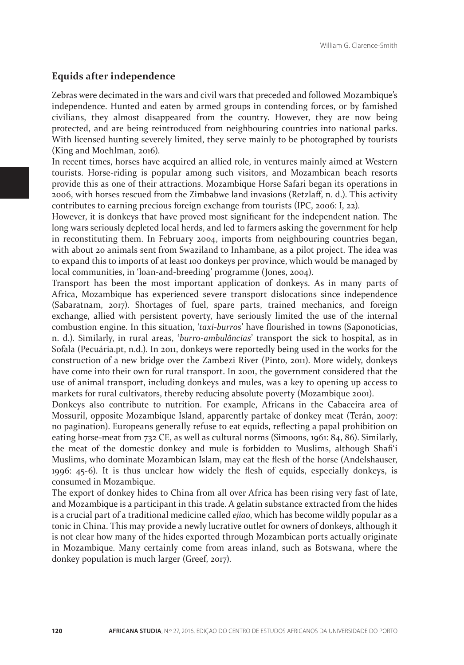## **Equids after independence**

Zebras were decimated in the wars and civil wars that preceded and followed Mozambique's independence. Hunted and eaten by armed groups in contending forces, or by famished civilians, they almost disappeared from the country. However, they are now being protected, and are being reintroduced from neighbouring countries into national parks. With licensed hunting severely limited, they serve mainly to be photographed by tourists (King and Moehlman, 2016).

In recent times, horses have acquired an allied role, in ventures mainly aimed at Western tourists. Horse-riding is popular among such visitors, and Mozambican beach resorts provide this as one of their attractions. Mozambique Horse Safari began its operations in 2006, with horses rescued from the Zimbabwe land invasions (Retzlaff, n. d.). This activity contributes to earning precious foreign exchange from tourists (IPC, 2006: I, 22).

However, it is donkeys that have proved most significant for the independent nation. The long wars seriously depleted local herds, and led to farmers asking the government for help in reconstituting them. In February 2004, imports from neighbouring countries began, with about 20 animals sent from Swaziland to Inhambane, as a pilot project. The idea was to expand this to imports of at least 100 donkeys per province, which would be managed by local communities, in 'loan-and-breeding' programme (Jones, 2004).

Transport has been the most important application of donkeys. As in many parts of Africa, Mozambique has experienced severe transport dislocations since independence (Sabaratnam, 2017). Shortages of fuel, spare parts, trained mechanics, and foreign exchange, allied with persistent poverty, have seriously limited the use of the internal combustion engine. In this situation, '*taxi-burros*' have flourished in towns (Saponotícias, n. d.). Similarly, in rural areas, '*burro-ambulâncias*' transport the sick to hospital, as in Sofala (Pecuária.pt, n.d.). In 2011, donkeys were reportedly being used in the works for the construction of a new bridge over the Zambezi River (Pinto, 2011). More widely, donkeys have come into their own for rural transport. In 2001, the government considered that the use of animal transport, including donkeys and mules, was a key to opening up access to markets for rural cultivators, thereby reducing absolute poverty (Mozambique 2001).

Donkeys also contribute to nutrition. For example, Africans in the Cabaceira area of Mossuril, opposite Mozambique Island, apparently partake of donkey meat (Terán, 2007: no pagination). Europeans generally refuse to eat equids, reflecting a papal prohibition on eating horse-meat from 732 CE, as well as cultural norms (Simoons, 1961: 84, 86). Similarly, the meat of the domestic donkey and mule is forbidden to Muslims, although Shafi'i Muslims, who dominate Mozambican Islam, may eat the flesh of the horse (Andelshauser, 1996: 45-6). It is thus unclear how widely the flesh of equids, especially donkeys, is consumed in Mozambique.

The export of donkey hides to China from all over Africa has been rising very fast of late, and Mozambique is a participant in this trade. A gelatin substance extracted from the hides is a crucial part of a traditional medicine called *ejiao*, which has become wildly popular as a tonic in China. This may provide a newly lucrative outlet for owners of donkeys, although it is not clear how many of the hides exported through Mozambican ports actually originate in Mozambique. Many certainly come from areas inland, such as Botswana, where the donkey population is much larger (Greef, 2017).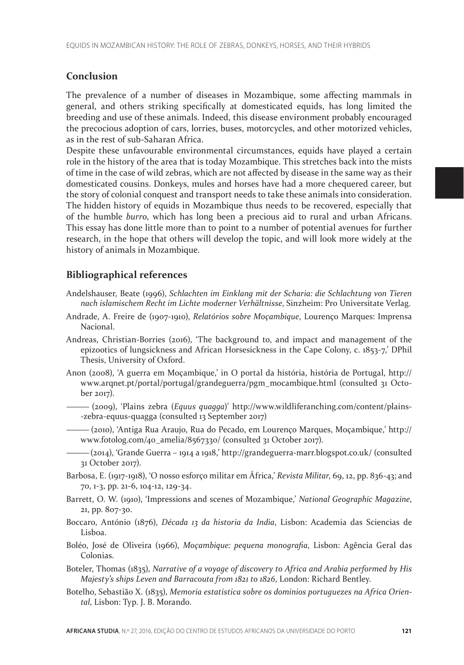# **Conclusion**

The prevalence of a number of diseases in Mozambique, some affecting mammals in general, and others striking specifically at domesticated equids, has long limited the breeding and use of these animals. Indeed, this disease environment probably encouraged the precocious adoption of cars, lorries, buses, motorcycles, and other motorized vehicles, as in the rest of sub-Saharan Africa.

Despite these unfavourable environmental circumstances, equids have played a certain role in the history of the area that is today Mozambique. This stretches back into the mists of time in the case of wild zebras, which are not affected by disease in the same way as their domesticated cousins. Donkeys, mules and horses have had a more chequered career, but the story of colonial conquest and transport needs to take these animals into consideration. The hidden history of equids in Mozambique thus needs to be recovered, especially that of the humble *burro*, which has long been a precious aid to rural and urban Africans. This essay has done little more than to point to a number of potential avenues for further research, in the hope that others will develop the topic, and will look more widely at the history of animals in Mozambique.

# **Bibliographical references**

- Andelshauser, Beate (1996), *Schlachten im Einklang mit der Scharia: die Schlachtung von Tieren nach islamischem Recht im Lichte moderner Verhältnisse*, Sinzheim: Pro Universitate Verlag.
- Andrade, A. Freire de (1907-1910), *Relatórios sobre Moçambique*, Lourenço Marques: Imprensa Nacional.
- Andreas, Christian-Borries (2016), 'The background to, and impact and management of the epizootics of lungsickness and African Horsesickness in the Cape Colony, c. 1853-7,' DPhil Thesis, University of Oxford.
- Anon (2008), 'A guerra em Moçambique,' in O portal da história, história de Portugal, http:// www.arqnet.pt/portal/portugal/grandeguerra/pgm\_mocambique.html (consulted 31 October 2017).
	- ——— (2009), 'Plains zebra (*Equus quagga*)' http://www.wildliferanching.com/content/plains- -zebra-equus-quagga (consulted 13 September 2017)
	- ——— (2010), 'Antiga Rua Araujo, Rua do Pecado, em Lourenço Marques, Moçambique,' http:// www.fotolog.com/40\_amelia/8567330/ (consulted 31 October 2017).

——— (2014), 'Grande Guerra – 1914 a 1918,' http://grandeguerra-marr.blogspot.co.uk/ (consulted 31 October 2017).

- Barbosa, E. (1917-1918), 'O nosso esforço militar em África,' *Revista Militar*, 69, 12, pp. 836-43; and 70, 1-3, pp. 21-6, 104-12, 129-34.
- Barrett, O. W. (1910), 'Impressions and scenes of Mozambique,' *National Geographic Magazine*, 21, pp. 807-30.
- Boccaro, António (1876), *Década 13 da historia da India*, Lisbon: Academia das Sciencias de Lisboa.
- Boléo, José de Oliveira (1966), *Moçambique: pequena monografia*, Lisbon: Agência Geral das Colonias.
- Boteler, Thomas (1835), *Narrative of a voyage of discovery to Africa and Arabia performed by His Majesty's ships Leven and Barracouta from 1821 to 1826*, London: Richard Bentley.
- Botelho, Sebastião X. (1835), *Memoria estatistica sobre os dominios portuguezes na Africa Oriental*, Lisbon: Typ. J. B. Morando.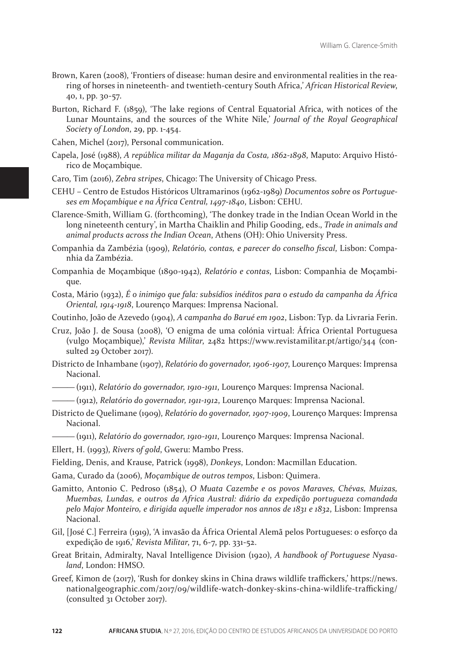- Brown, Karen (2008), 'Frontiers of disease: human desire and environmental realities in the rearing of horses in nineteenth- and twentieth-century South Africa,' *African Historical Review*, 40, 1, pp. 30-57.
- Burton, Richard F. (1859), 'The lake regions of Central Equatorial Africa, with notices of the Lunar Mountains, and the sources of the White Nile,' *Journal of the Royal Geographical Society of London*, 29, pp. 1-454.

Cahen, Michel (2017), Personal communication.

- Capela, José (1988), *A república militar da Maganja da Costa, 1862-1898*, Maputo: Arquivo Histórico de Moçambique.
- Caro, Tim (2016), *Zebra stripes*, Chicago: The University of Chicago Press.

CEHU – Centro de Estudos Históricos Ultramarinos (1962-1989) *Documentos sobre os Portugueses em Moçambique e na África Central, 1497-1840*, Lisbon: CEHU.

Clarence-Smith, William G. (forthcoming), 'The donkey trade in the Indian Ocean World in the long nineteenth century', in Martha Chaiklin and Philip Gooding, eds., *Trade in animals and animal products across the Indian Ocean*, Athens (OH): Ohio University Press.

Companhia da Zambézia (1909), *Relatório, contas, e parecer do conselho fiscal*, Lisbon: Companhia da Zambézia.

- Companhia de Moçambique (1890-1942), *Relatório e contas*, Lisbon: Companhia de Moçambique.
- Costa, Mário (1932), *É o inimigo que fala: subsídios inéditos para o estudo da campanha da África Oriental, 1914-1918*, Lourenço Marques: Imprensa Nacional.

Coutinho, João de Azevedo (1904), *A campanha do Barué em 1902*, Lisbon: Typ. da Livraria Ferin.

- Cruz, João J. de Sousa (2008), 'O enigma de uma colónia virtual: África Oriental Portuguesa (vulgo Moçambique),' *Revista Militar*, 2482 https://www.revistamilitar.pt/artigo/344 (consulted 29 October 2017).
- Districto de Inhambane (1907), *Relatório do governador, 1906-1907*, Lourenço Marques: Imprensa Nacional.

——— (1911), *Relatório do governador, 1910-1911*, Lourenço Marques: Imprensa Nacional.

- ——— (1912), *Relatório do governador, 1911-1912*, Lourenço Marques: Imprensa Nacional.
- Districto de Quelimane (1909), *Relatório do governador, 1907-1909*, Lourenço Marques: Imprensa Nacional.
- ——— (1911), *Relatório do governador, 1910-1911*, Lourenço Marques: Imprensa Nacional.

Ellert, H. (1993), *Rivers of gold*, Gweru: Mambo Press.

Fielding, Denis, and Krause, Patrick (1998), *Donkeys*, London: Macmillan Education.

Gama, Curado da (2006), *Moçambique de outros tempos*, Lisbon: Quimera.

- Gamitto, Antonio C. Pedroso (1854), *O Muata Cazembe e os povos Maraves, Chévas, Muizas, Muembas, Lundas, e outros da Africa Austral: diário da expedição portugueza comandada pelo Major Monteiro, e dirigida aquelle imperador nos annos de 1831 e 1832*, Lisbon: Imprensa Nacional.
- Gil, [José C.] Ferreira (1919), 'A invasão da África Oriental Alemã pelos Portugueses: o esforço da expedição de 1916,' *Revista Militar*, 71, 6-7, pp. 331-52.
- Great Britain, Admiralty, Naval Intelligence Division (1920), *A handbook of Portuguese Nyasaland*, London: HMSO.
- Greef, Kimon de (2017), 'Rush for donkey skins in China draws wildlife traffickers,' https://news. nationalgeographic.com/2017/09/wildlife-watch-donkey-skins-china-wildlife-trafficking/ (consulted 31 October 2017).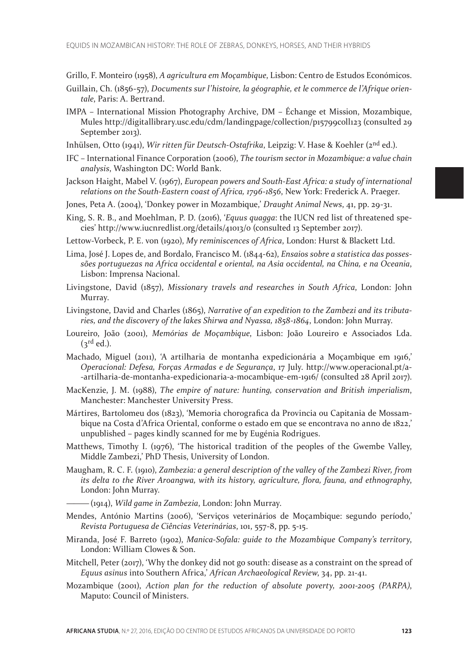- Grillo, F. Monteiro (1958), *A agricultura em Moçambique*, Lisbon: Centro de Estudos Económicos.
- Guillain, Ch. (1856-57), *Documents sur l'histoire, la géographie, et le commerce de l'Afrique orientale*, Paris: A. Bertrand.
- IMPA International Mission Photography Archive, DM Échange et Mission, Mozambique, Mules http://digitallibrary.usc.edu/cdm/landingpage/collection/p15799coll123 (consulted 29 September 2013).
- Inhülsen, Otto (1941), *Wir ritten für Deutsch-Ostafrika*, Leipzig: V. Hase & Koehler (2nd ed.).
- IFC International Finance Corporation (2006), *The tourism sector in Mozambique: a value chain analysis*, Washington DC: World Bank.
- Jackson Haight, Mabel V. (1967), *European powers and South-East Africa: a study of international relations on the South-Eastern coast of Africa, 1796-1856*, New York: Frederick A. Praeger.
- Jones, Peta A. (2004), 'Donkey power in Mozambique,' *Draught Animal News*, 41, pp. 29-31.
- King, S. R. B., and Moehlman, P. D. (2016), '*Equus quagga*: the IUCN red list of threatened species' http://www.iucnredlist.org/details/41013/0 (consulted 13 September 2017).
- Lettow-Vorbeck, P. E. von (1920), *My reminiscences of Africa*, London: Hurst & Blackett Ltd.
- Lima, José J. Lopes de, and Bordalo, Francisco M. (1844-62), *Ensaios sobre a statistica das possessões portuguezas na Africa occidental e oriental, na Asia occidental, na China, e na Oceania*, Lisbon: Imprensa Nacional.
- Livingstone, David (1857), *Missionary travels and researches in South Africa*, London: John Murray.
- Livingstone, David and Charles (1865), *Narrative of an expedition to the Zambezi and its tributaries, and the discovery of the lakes Shirwa and Nyassa, 1858-1864*, London: John Murray.
- Loureiro, João (2001), *Memórias de Moçambique*, Lisbon: João Loureiro e Associados Lda.  $(3^{rd}$  ed.).
- Machado, Miguel (2011), 'A artilharia de montanha expedicionária a Moçambique em 1916,' *Operacional: Defesa, Forças Armadas e de Segurança*, 17 July. http://www.operacional.pt/a- -artilharia-de-montanha-expedicionaria-a-mocambique-em-1916/ (consulted 28 April 2017).
- MacKenzie, J. M. (1988), *The empire of nature: hunting, conservation and British imperialism*, Manchester: Manchester University Press.
- Mártires, Bartolomeu dos (1823), 'Memoria chorografica da Provincia ou Capitania de Mossambique na Costa d'Africa Oriental, conforme o estado em que se encontrava no anno de 1822,' unpublished – pages kindly scanned for me by Eugénia Rodrigues.
- Matthews, Timothy I. (1976), 'The historical tradition of the peoples of the Gwembe Valley, Middle Zambezi,' PhD Thesis, University of London.
- Maugham, R. C. F. (1910), *Zambezia: a general description of the valley of the Zambezi River, from its delta to the River Aroangwa, with its history, agriculture, flora, fauna, and ethnography*, London: John Murray.
	- ——— (1914), *Wild game in Zambezia*, London: John Murray.
- Mendes, António Martins (2006), 'Serviços veterinários de Moçambique: segundo período,' *Revista Portuguesa de Ciências Veterinárias*, 101, 557-8, pp. 5-15.
- Miranda, José F. Barreto (1902), *Manica-Sofala: guide to the Mozambique Company's territory*, London: William Clowes & Son.
- Mitchell, Peter (2017), 'Why the donkey did not go south: disease as a constraint on the spread of *Equus asinus* into Southern Africa,' *African Archaeological Review*, 34, pp. 21-41.
- Mozambique (2001), *Action plan for the reduction of absolute poverty, 2001-2005 (PARPA)*, Maputo: Council of Ministers.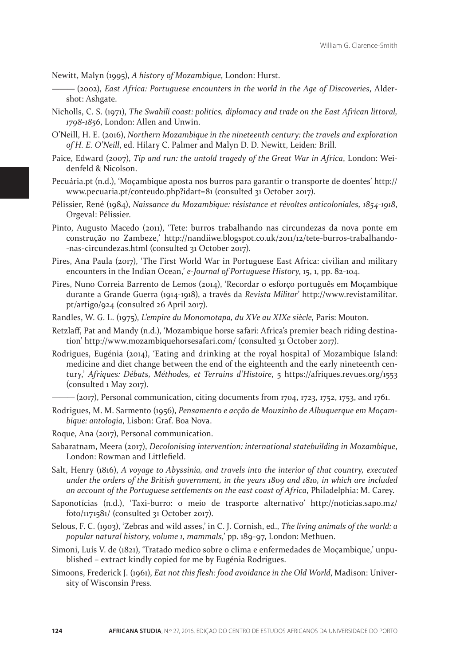Newitt, Malyn (1995), *A history of Mozambique*, London: Hurst.

- ——— (2002), *East Africa: Portuguese encounters in the world in the Age of Discoveries*, Aldershot: Ashgate.
- Nicholls, C. S. (1971), *The Swahili coast: politics, diplomacy and trade on the East African littoral, 1798-1856*, London: Allen and Unwin.
- O'Neill, H. E. (2016), *Northern Mozambique in the nineteenth century: the travels and exploration of H. E. O'Neill*, ed. Hilary C. Palmer and Malyn D. D. Newitt, Leiden: Brill.
- Paice, Edward (2007), *Tip and run: the untold tragedy of the Great War in Africa*, London: Weidenfeld & Nicolson.
- Pecuária.pt (n.d.), 'Moçambique aposta nos burros para garantir o transporte de doentes' http:// www.pecuaria.pt/conteudo.php?idart=81 (consulted 31 October 2017).
- Pélissier, René (1984), *Naissance du Mozambique: résistance et révoltes anticoloniales, 1854-1918*, Orgeval: Pélissier.
- Pinto, Augusto Macedo (2011), 'Tete: burros trabalhando nas circundezas da nova ponte em construção no Zambeze,' http://nandiiwe.blogspot.co.uk/2011/12/tete-burros-trabalhando- -nas-circundezas.html (consulted 31 October 2017).
- Pires, Ana Paula (2017), 'The First World War in Portuguese East Africa: civilian and military encounters in the Indian Ocean,' *e-Journal of Portuguese History*, 15, 1, pp. 82-104.
- Pires, Nuno Correia Barrento de Lemos (2014), 'Recordar o esforço português em Moçambique durante a Grande Guerra (1914-1918), a través da *Revista Militar*' http://www.revistamilitar. pt/artigo/924 (consulted 26 April 2017).
- Randles, W. G. L. (1975), *L'empire du Monomotapa, du XVe au XIXe siècle*, Paris: Mouton.
- Retzlaff, Pat and Mandy (n.d.), 'Mozambique horse safari: Africa's premier beach riding destination' http://www.mozambiquehorsesafari.com/ (consulted 31 October 2017).
- Rodrigues, Eugénia (2014), 'Eating and drinking at the royal hospital of Mozambique Island: medicine and diet change between the end of the eighteenth and the early nineteenth century,' *Afriques: Débats, Méthodes, et Terrains d'Histoire*, 5 https://afriques.revues.org/1553 (consulted 1 May 2017).

 $-(2017)$ , Personal communication, citing documents from 1704, 1723, 1752, 1753, and 1761.

Rodrigues, M. M. Sarmento (1956), *Pensamento e acção de Mouzinho de Albuquerque em Moçambique: antologia*, Lisbon: Graf. Boa Nova.

Roque, Ana (2017), Personal communication.

- Sabaratnam, Meera (2017), *Decolonising intervention: international statebuilding in Mozambique*, London: Rowman and Littlefield.
- Salt, Henry (1816), *A voyage to Abyssinia, and travels into the interior of that country, executed under the orders of the British government, in the years 1809 and 1810, in which are included an account of the Portuguese settlements on the east coast of Africa*, Philadelphia: M. Carey.
- Saponotícias (n.d.), 'Taxi-burro: o meio de trasporte alternativo' http://noticias.sapo.mz/ foto/1171581/ (consulted 31 October 2017).
- Selous, F. C. (1903), 'Zebras and wild asses,' in C. J. Cornish, ed., *The living animals of the world: a popular natural history, volume 1, mammals*,' pp. 189-97, London: Methuen.
- Simoni, Luís V. de (1821), 'Tratado medico sobre o clima e enfermedades de Moçambique,' unpublished – extract kindly copied for me by Eugénia Rodrigues.
- Simoons, Frederick J. (1961), *Eat not this flesh: food avoidance in the Old World*, Madison: University of Wisconsin Press.